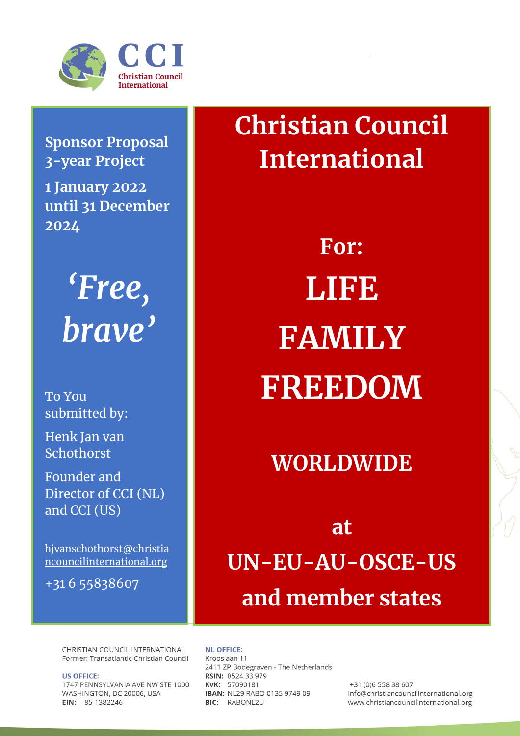

**Sponsor Proposal 3-year Project 1 January 2022 until 31 December 2024**



To You submitted by:

Henk Jan van Schothorst

Founder and Director of CCI (NL) and CCI (US)

[hjvanschothorst@christia](mailto:hjvanschothorst@christiancouncilinternational.org) [ncouncilinternational.org](mailto:hjvanschothorst@christiancouncilinternational.org)

+31 6 55838607

**Christian Council International**

> **For: LIFE FAMILY FREEDOM**

## **WORLDWIDE**

**at UN-EU-AU-OSCE-US and member states**

CHRISTIAN COUNCIL INTERNATIONAL Former: Transatlantic Christian Council

**US OFFICE:** 1747 PENNSYLVANIA AVE NW STE 1000 WASHINGTON, DC 20006, USA EIN: 85-1382246

**NL OFFICE:** 

Krooslaan 11 2411 ZP Bodegraven - The Netherlands RSIN: 8524 33 979 KvK: 57090181 IBAN: NL29 RABO 0135 9749 09 BIC: RABONL2U

+31 (0)6 558 38 607 info@christiancouncilinternational.org www.christiancouncilinternational.org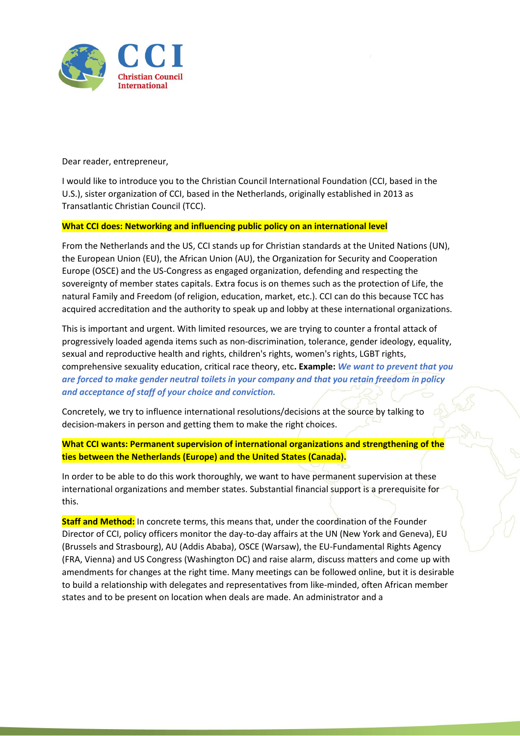

Dear reader, entrepreneur,

I would like to introduce you to the Christian Council International Foundation (CCI, based in the U.S.), sister organization of CCI, based in the Netherlands, originally established in 2013 as Transatlantic Christian Council (TCC).

## **What CCI does: Networking and influencing public policy on an international level**

From the Netherlands and the US, CCI stands up for Christian standards at the United Nations (UN), the European Union (EU), the African Union (AU), the Organization for Security and Cooperation Europe (OSCE) and the US-Congress as engaged organization, defending and respecting the sovereignty of member states capitals. Extra focus is on themes such as the protection of Life, the natural Family and Freedom (of religion, education, market, etc.). CCI can do this because TCC has acquired accreditation and the authority to speak up and lobby at these international organizations.

This is important and urgent. With limited resources, we are trying to counter a frontal attack of progressively loaded agenda items such as non-discrimination, tolerance, gender ideology, equality, sexual and reproductive health and rights, children's rights, women's rights, LGBT rights, comprehensive sexuality education, critical race theory, etc**. Example:** *We want to prevent that you are forced to make gender neutral toilets in your company and that you retain freedom in policy and acceptance of staff of your choice and conviction.*

Concretely, we try to influence international resolutions/decisions at the source by talking to decision-makers in person and getting them to make the right choices.

**What CCI wants: Permanent supervision of international organizations and strengthening of the ties between the Netherlands (Europe) and the United States (Canada).**

In order to be able to do this work thoroughly, we want to have permanent supervision at these international organizations and member states. Substantial financial support is a prerequisite for this.

**Staff and Method:** In concrete terms, this means that, under the coordination of the Founder Director of CCI, policy officers monitor the day-to-day affairs at the UN (New York and Geneva), EU (Brussels and Strasbourg), AU (Addis Ababa), OSCE (Warsaw), the EU-Fundamental Rights Agency (FRA, Vienna) and US Congress (Washington DC) and raise alarm, discuss matters and come up with amendments for changes at the right time. Many meetings can be followed online, but it is desirable to build a relationship with delegates and representatives from like-minded, often African member states and to be present on location when deals are made. An administrator and a